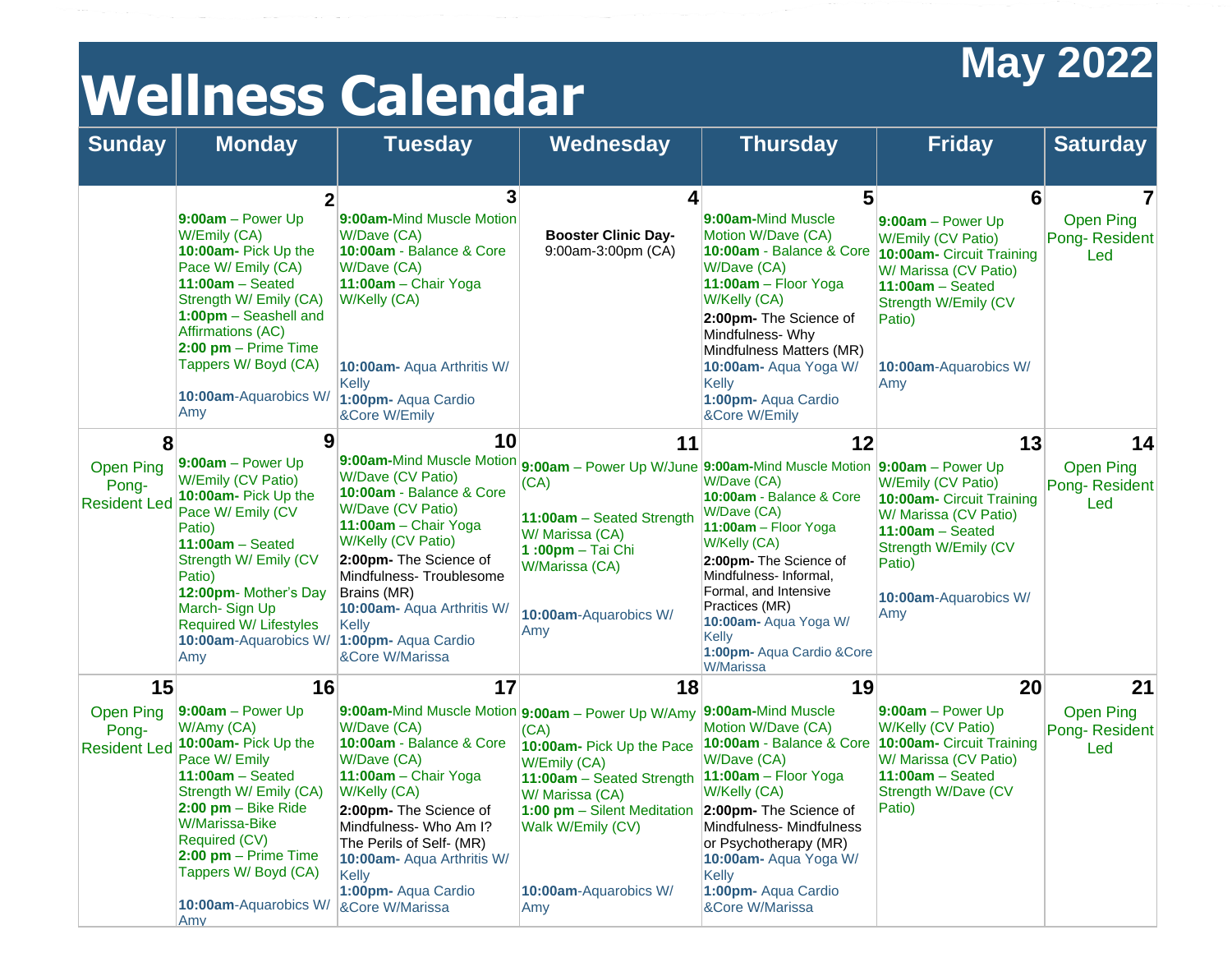## **Wellness Calendar May** 2022

| <b>Sunday</b>                                         | <b>Monday</b>                                                                                                                                                                                                                                                                                | <b>Tuesday</b>                                                                                                                                                                                                                                                                                                         | Wednesday                                                                                                                                                                                                                                                                                    | <b>Thursday</b>                                                                                                                                                                                                                                                                        | <b>Friday</b>                                                                                                                                                                                     | <b>Saturday</b>                                            |
|-------------------------------------------------------|----------------------------------------------------------------------------------------------------------------------------------------------------------------------------------------------------------------------------------------------------------------------------------------------|------------------------------------------------------------------------------------------------------------------------------------------------------------------------------------------------------------------------------------------------------------------------------------------------------------------------|----------------------------------------------------------------------------------------------------------------------------------------------------------------------------------------------------------------------------------------------------------------------------------------------|----------------------------------------------------------------------------------------------------------------------------------------------------------------------------------------------------------------------------------------------------------------------------------------|---------------------------------------------------------------------------------------------------------------------------------------------------------------------------------------------------|------------------------------------------------------------|
|                                                       | $\mathbf 2$<br>$9:00am - Power Up$<br>W/Emily (CA)<br>10:00am- Pick Up the<br>Pace W/ Emily (CA)<br>$11:00am - Seated$<br>Strength W/ Emily (CA)<br>1:00pm - Seashell and<br>Affirmations (AC)<br>2:00 pm - Prime Time<br>Tappers W/Boyd (CA)<br>10:00am-Aquarobics W/<br>Amy                | 3<br>9:00am-Mind Muscle Motion<br>W/Dave (CA)<br>10:00am - Balance & Core<br>W/Dave (CA)<br>11:00am - Chair Yoga<br>W/Kelly (CA)<br>10:00am- Aqua Arthritis W/<br><b>Kelly</b><br>1:00pm- Aqua Cardio<br>&Core W/Emily                                                                                                 | $\overline{\mathbf{A}}$<br><b>Booster Clinic Day-</b><br>9:00am-3:00pm (CA)                                                                                                                                                                                                                  | 5<br>9:00am-Mind Muscle<br>Motion W/Dave (CA)<br>10:00am - Balance & Core<br>W/Dave (CA)<br>11:00am - Floor Yoga<br>W/Kelly (CA)<br>2:00pm- The Science of<br>Mindfulness-Why<br>Mindfulness Matters (MR)<br>10:00am- Aqua Yoga W/<br>Kelly<br>1:00pm- Aqua Cardio<br>&Core W/Emily    | 6<br>9:00am - Power Up<br>W/Emily (CV Patio)<br><b>10:00am- Circuit Training</b><br>W/ Marissa (CV Patio)<br>$11:00am - Seated$<br>Strength W/Emily (CV<br>Patio)<br>10:00am-Aquarobics W/<br>Amy | $\overline{7}$<br><b>Open Ping</b><br>Pong-Resident<br>Led |
| 8<br><b>Open Ping</b><br>Pong-<br><b>Resident Led</b> | 9<br>$9:00am - Power Up$<br>W/Emily (CV Patio)<br>10:00am- Pick Up the<br>Pace W/ Emily (CV<br>Patio)<br>$11:00am - Seated$<br>Strength W/ Emily (CV<br>Patio)<br>12:00pm- Mother's Day<br>March-Sign Up<br><b>Required W/ Lifestyles</b><br><b>10:00am-Aquarobics W/</b><br>Amy             | 10<br>9:00am-Mind Muscle Motion<br><b>W/Dave (CV Patio)</b><br>10:00am - Balance & Core<br>W/Dave (CV Patio)<br>11:00am - Chair Yoga<br>W/Kelly (CV Patio)<br>2:00pm- The Science of<br>Mindfulness-Troublesome<br>Brains (MR)<br>10:00am- Aqua Arthritis W/<br><b>Kelly</b><br>1:00pm- Aqua Cardio<br>&Core W/Marissa | 11<br>9:00am - Power Up W/June 9:00am-Mind Muscle Motion 9:00am - Power Up<br>(CA)<br>11:00am - Seated Strength<br>W/ Marissa (CA)<br>1:00pm - Tai Chi<br>W/Marissa (CA)<br>10:00am-Aquarobics W/<br>Amy                                                                                     | 12<br>W/Dave (CA)<br>10:00am - Balance & Core<br>W/Dave (CA)<br>11:00am - Floor Yoga<br>W/Kelly (CA)<br>2:00pm- The Science of<br>Mindfulness-Informal.<br>Formal, and Intensive<br>Practices (MR)<br>10:00am- Aqua Yoga W/<br>Kelly<br>1:00pm- Aqua Cardio & Core<br><b>W/Marissa</b> | 13<br>W/Emily (CV Patio)<br>10:00am- Circuit Training<br>W/ Marissa (CV Patio)<br>$11:00am - Seated$<br>Strength W/Emily (CV<br>Patio)<br>10:00am-Aquarobics W/<br>Amy                            | 14<br><b>Open Ping</b><br>Pong-Resident<br>Led             |
| 15<br><b>Open Ping</b><br>Pong-                       | 16<br>$9:00am - Power Up$<br>W/Amy (CA)<br>Resident Led 10:00am- Pick Up the<br>Pace W/ Emily<br>$11:00am - Seated$<br>Strength W/ Emily (CA)<br>$2:00$ pm $-$ Bike Ride<br>W/Marissa-Bike<br>Required (CV)<br>$2:00$ pm - Prime Time<br>Tappers W/Boyd (CA)<br>10:00am-Aquarobics W/<br>Amv | 17<br>W/Dave (CA)<br>10:00am - Balance & Core<br>W/Dave (CA)<br>11:00am - Chair Yoga<br>W/Kelly (CA)<br>2:00pm- The Science of<br>Mindfulness- Who Am I?<br>The Perils of Self- (MR)<br>10:00am- Aqua Arthritis W/<br><b>Kelly</b><br>1:00pm- Aqua Cardio<br>&Core W/Marissa                                           | 18<br>9:00am-Mind Muscle Motion $9:00am - Power Up W/Amy$ 9:00am-Mind Muscle<br>(CA)<br>10:00am- Pick Up the Pace<br>W/Emily (CA)<br>11:00am - Seated Strength<br>W/ Marissa (CA)<br>1:00 pm - Silent Meditation 2:00pm- The Science of<br>Walk W/Emily (CV)<br>10:00am-Aquarobics W/<br>Amy | 19<br>Motion W/Dave (CA)<br>10:00am - Balance & Core<br>W/Dave (CA)<br>$11:00am - Floor Yoga$<br>W/Kelly (CA)<br>Mindfulness- Mindfulness<br>or Psychotherapy (MR)<br>10:00am- Aqua Yoga W/<br>Kelly<br>1:00pm- Aqua Cardio<br>&Core W/Marissa                                         | 20<br>$9:00am - Power Up$<br>W/Kelly (CV Patio)<br>10:00am- Circuit Training<br>W/ Marissa (CV Patio)<br>$11:00am - Seated$<br>Strength W/Dave (CV<br>Patio)                                      | 21<br>Open Ping<br>Pong-Resident<br>Led                    |